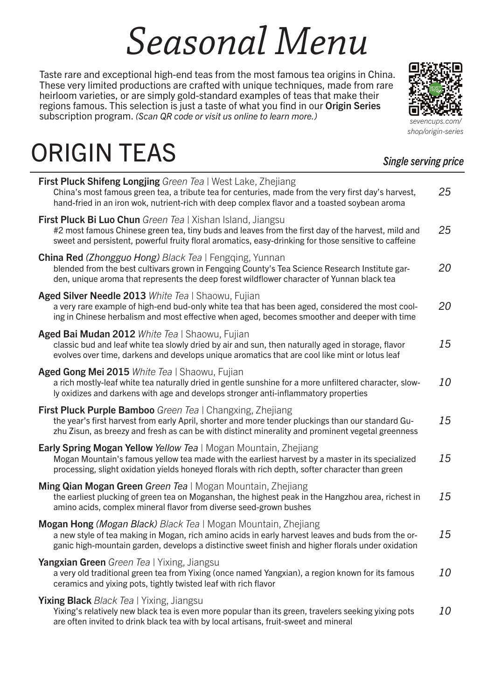# *Seasonal Menu*

Taste rare and exceptional high-end teas from the most famous tea origins in China. These very limited productions are crafted with unique techniques, made from rare heirloom varieties, or are simply gold-standard examples of teas that make their regions famous. This selection is just a taste of what you find in our Origin Series subscription program. *(Scan QR code or visit us online to learn more.) sevencups.com/*

## ORIGIN TEAS

| <b>First Pluck Shifeng Longjing</b> Green Tea   West Lake, Zhejiang<br>China's most famous green tea, a tribute tea for centuries, made from the very first day's harvest,<br>hand-fried in an iron wok, nutrient-rich with deep complex flavor and a toasted soybean aroma      | 25        |
|----------------------------------------------------------------------------------------------------------------------------------------------------------------------------------------------------------------------------------------------------------------------------------|-----------|
| <b>First Pluck Bi Luo Chun</b> Green Tea   Xishan Island, Jiangsu<br>#2 most famous Chinese green tea, tiny buds and leaves from the first day of the harvest, mild and<br>sweet and persistent, powerful fruity floral aromatics, easy-drinking for those sensitive to caffeine | 25        |
| <b>China Red (Zhongguo Hong) Black Tea   Fengging, Yunnan</b><br>blended from the best cultivars grown in Fengging County's Tea Science Research Institute gar-<br>den, unique aroma that represents the deep forest wildflower character of Yunnan black tea                    | 20        |
| Aged Silver Needle 2013 White Tea   Shaowu, Fujian<br>a very rare example of high-end bud-only white tea that has been aged, considered the most cool-<br>ing in Chinese herbalism and most effective when aged, becomes smoother and deeper with time                           | 20        |
| Aged Bai Mudan 2012 White Tea   Shaowu, Fujian<br>classic bud and leaf white tea slowly dried by air and sun, then naturally aged in storage, flavor<br>evolves over time, darkens and develops unique aromatics that are cool like mint or lotus leaf                           | 15        |
| Aged Gong Mei 2015 White Tea   Shaowu, Fujian<br>a rich mostly-leaf white tea naturally dried in gentle sunshine for a more unfiltered character, slow-<br>ly oxidizes and darkens with age and develops stronger anti-inflammatory properties                                   | 10        |
| First Pluck Purple Bamboo Green Tea   Changxing, Zhejiang<br>the year's first harvest from early April, shorter and more tender pluckings than our standard Gu-<br>zhu Zisun, as breezy and fresh as can be with distinct minerality and prominent vegetal greenness             | 15        |
| <b>Early Spring Mogan Yellow Yellow Tea   Mogan Mountain, Zhejiang</b><br>Mogan Mountain's famous yellow tea made with the earliest harvest by a master in its specialized<br>processing, slight oxidation yields honeyed florals with rich depth, softer character than green   | 15        |
| Ming Qian Mogan Green Green Tea   Mogan Mountain, Zhejiang<br>the earliest plucking of green tea on Moganshan, the highest peak in the Hangzhou area, richest in<br>amino acids, complex mineral flavor from diverse seed-grown bushes                                           | 15        |
| Mogan Hong (Mogan Black) Black Tea   Mogan Mountain, Zhejiang<br>a new style of tea making in Mogan, rich amino acids in early harvest leaves and buds from the or-<br>ganic high-mountain garden, develops a distinctive sweet finish and higher florals under oxidation        | 15        |
| Yangxian Green Green Tea   Yixing, Jiangsu<br>a very old traditional green tea from Yixing (once named Yangxian), a region known for its famous<br>ceramics and yixing pots, tightly twisted leaf with rich flavor                                                               | <i>10</i> |
| <b>Yixing Black</b> Black Tea   Yixing, Jiangsu<br>Yixing's relatively new black tea is even more popular than its green, travelers seeking yixing pots<br>are often invited to drink black tea with by local artisans, fruit-sweet and mineral                                  | <i>10</i> |



#### *Single serving price*